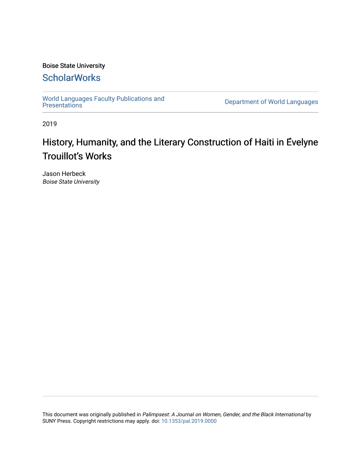### Boise State University

## **ScholarWorks**

[World Languages Faculty Publications and](https://scholarworks.boisestate.edu/lang_facpubs)<br>Presentations

Department of World Languages

2019

# History, Humanity, and the Literary Construction of Haiti in Evelyne Trouillot's Works

Jason Herbeck Boise State University

This document was originally published in Palimpsest: A Journal on Women, Gender, and the Black International by SUNY Press. Copyright restrictions may apply. doi: [10.1353/pal.2019.0000](https://dx.doi.org/10.1353/pal.2019.0000)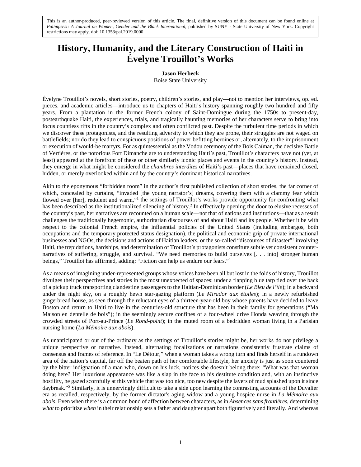This is an author-produced, peer-reviewed version of this article. The final, definitive version of this document can be found online at *Palimpsest: A Journal on Women, Gender and the Black International*, published by SUNY - State University of New York. Copyright restrictions may apply. doi: 10.1353/pal.2019.0000

## **History, Humanity, and the Literary Construction of Haiti in Évelyne Trouillot's Works**

#### **Jason Herbeck**

Boise State University

Évelyne Trouillot's novels, short stories, poetry, children's stories, and play—not to mention her interviews, op. ed. pieces, and academic articles—introduce us to chapters of Haiti's history spanning roughly two hundred and fifty years. From a plantation in the former French colony of Saint-Domingue during the 1750s to present-day, postearthquake Haiti, the experiences, trials, and tragically haunting memories of her characters serve to bring into focus countless rifts in the country's complex and often conflicted past. Despite the turbulent time periods in which we discover these protagonists, and the resulting adversity to which they are prone, their struggles are not waged on battlefields; nor do they lead to conspicuous positions of power befitting heroines or, alternately, to the imprisonment or execution of would-be martyrs. For as quintessential as the Vodou ceremony of the Bois Caïman, the decisive Battle of Vertières, or the notorious Fort Dimanche are to understanding Haiti's past, Trouillot's characters have not (yet, at least) appeared at the forefront of these or other similarly iconic places and events in the country's history. Instead, they emerge in what might be considered the *chambres interdites* of Haiti's past—places that have remained closed, hidden, or merely overlooked within and by the country's dominant historical narratives.

Akin to the eponymous "forbidden room" in the author's first published collection of short stories, the far corner of which, concealed by curtains, "invaded [the young narrator's] dreams, covering them with a clammy fear which flowed over [her], redolent and warm,"<sup>1</sup> the settings of Trouillot's works provide opportunity for confronting what has been described as the institutionalized silencing of history.<sup>2</sup> In effectively opening the door to elusive recesses of the country's past, her narratives are recounted on a human scale—not that of nations and institutions—that as a result challenges the traditionally hegemonic, authoritarian discourses of and about Haiti and its people. Whether it be with respect to the colonial French empire, the influential policies of the United States (including embargos, both occupations and the temporary protected status designation), the political and economic grip of private international businesses and NGOs, the decisions and actions of Haitian leaders, or the so-called "discourses of disaster"3 involving Haiti, the trepidations, hardships, and determination of Trouillot's protagonists constitute subtle yet consistent counternarratives of suffering, struggle, and survival. "We need memories to build ourselves [. . . into] stronger human beings," Trouillot has affirmed, adding: "Fiction can help us endure our fears."4

As a means of imagining under-represented groups whose voices have been all but lost in the folds of history, Trouillot divulges their perspectives and stories in the most unexpected of spaces: under a flapping blue tarp tied over the back of a pickup truck transporting clandestine passengers to the Haitian-Dominican border (*Le Bleu de l'île*); in a backyard under the night sky, on a roughly hewn star-gazing platform (*Le Mirador aux étoiles*); in a newly refurbished gingerbread house, as seen through the reluctant eyes of a thirteen-year-old boy whose parents have decided to leave Boston and return to Haiti to live in the centuries-old structure that has been in their family for generations ("Ma Maison en dentelle de bois"); in the seemingly secure confines of a four-wheel drive Honda weaving through the crowded streets of Port-au-Prince (*Le Rond-point*); in the muted room of a bedridden woman living in a Parisian nursing home (*La Mémoire aux abois*).

As unanticipated or out of the ordinary as the settings of Trouillot's stories might be, her works do not privilege a unique perspective or narrative. Instead, alternating focalizations or narrations consistently frustrate claims of consensus and frames of reference. In "Le Détour," when a woman takes a wrong turn and finds herself in a rundown area of the nation's capital, far off the beaten path of her comfortable lifestyle, her anxiety is just as soon countered by the bitter indignation of a man who, down on his luck, notices she doesn't belong there: "What was that woman doing here? Her luxurious appearance was like a slap in the face to his destitute condition and, with an instinctive hostility, he gazed scornfully at this vehicle that was too nice, too new despite the layers of mud splashed upon it since daybreak."<sup>5</sup> Similarly, it is unnervingly difficult to take a side upon learning the contrasting accounts of the Duvalier era as recalled, respectively, by the former dictator's aging widow and a young hospice nurse in *La Mémoire aux abois*. Even when there is a common bond of affection between characters, as in *Absences sans frontières*, determining *what* to prioritize *when* in their relationship sets a father and daughter apart both figuratively and literally. And whereas